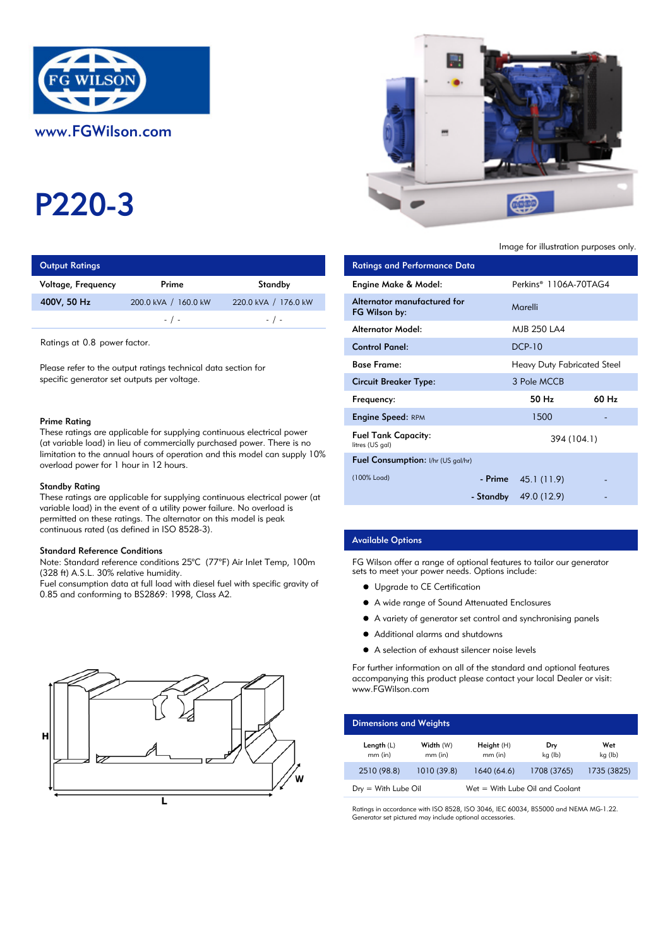

# P220-3

| <b>Output Ratings</b> |                      | <b>Ratings and Performance Data</b> |                               |
|-----------------------|----------------------|-------------------------------------|-------------------------------|
| Voltage, Frequency    | Prime                | Standby                             | Engine Make & Model:          |
| 400V, 50 Hz           | 200.0 kVA / 160.0 kW | 220.0 kVA / 176.0 kW                | Alternator manufactured for   |
|                       | $-$ / $-$            | $-$ / $-$                           | FG Wilson by:                 |
|                       |                      |                                     | A la comparació A A el diel d |

#### Prime Rating

#### Standby Rating

These ratings are applicable for supplying continuous electrical power (at variable load) in the event of a utility power failure. No overload is permitted on these ratings. The alternator on this model is peak continuous rated (as defined in ISO 8528-3).

#### Standard Reference Conditions

Note: Standard reference conditions 25°C (77°F) Air Inlet Temp, 100m (328 ft) A.S.L. 30% relative humidity.

Fuel consumption data at full load with diesel fuel with specific gravity of 0.85 and conforming to BS2869: 1998, Class A2.





Image for illustration purposes only.

| <b>Output Ratings</b>                                                                                                                                             |                      |                                    | <b>Ratings and Performance Data</b>           |           |                                    |       |
|-------------------------------------------------------------------------------------------------------------------------------------------------------------------|----------------------|------------------------------------|-----------------------------------------------|-----------|------------------------------------|-------|
| Voltage, Frequency                                                                                                                                                | Prime                | Standby                            | Engine Make & Model:                          |           | Perkins <sup>®</sup> 1106A-70TAG4  |       |
| 400V, 50 Hz                                                                                                                                                       | 200.0 kVA / 160.0 kW | 220.0 kVA / 176.0 kW               | Alternator manufactured for<br>FG Wilson by:  |           | Marelli                            |       |
|                                                                                                                                                                   | $-$ / $-$            | $-$ / $-$                          | <b>Alternator Model:</b>                      |           | MJB 250 LA4                        |       |
| Ratings at 0.8 power factor.                                                                                                                                      |                      |                                    | <b>Control Panel:</b>                         |           | <b>DCP-10</b>                      |       |
| Please refer to the output ratings technical data section for<br>specific generator set outputs per voltage.                                                      |                      |                                    | <b>Base Frame:</b>                            |           | <b>Heavy Duty Fabricated Steel</b> |       |
|                                                                                                                                                                   |                      |                                    | <b>Circuit Breaker Type:</b>                  |           | 3 Pole MCCB                        |       |
|                                                                                                                                                                   |                      |                                    | Frequency:                                    |           | 50 Hz                              | 60 Hz |
| Prime Rating<br>These ratings are applicable for supplying continuous electrical power<br>(at variable load) in lieu of commercially purchased power. There is no |                      |                                    | <b>Engine Speed: RPM</b>                      |           | 1500                               |       |
|                                                                                                                                                                   |                      |                                    | <b>Fuel Tank Capacity:</b><br>litres (US gal) |           | 394 (104.1)                        |       |
| limitation to the annual hours of operation and this model can supply $10\%$<br>overload power for 1 hour in 12 hours.                                            |                      | Fuel Consumption: I/hr (US gal/hr) |                                               |           |                                    |       |
| Standby Rating                                                                                                                                                    |                      |                                    | (100% Load)                                   | - Prime   | 45.1 (11.9)                        |       |
| These ratings are applicable for supplying continuous electrical power (at                                                                                        |                      |                                    |                                               | - Standby | 49.0 (12.9)                        |       |

## Available Options

FG Wilson offer a range of optional features to tailor our generator sets to meet your power needs. Options include:

- **•** Upgrade to CE Certification
- A wide range of Sound Attenuated Enclosures
- A variety of generator set control and synchronising panels
- $\bullet$ Additional alarms and shutdowns
- A selection of exhaust silencer noise levels

For further information on all of the standard and optional features accompanying this product please contact your local Dealer or visit: www.FGWilson.com

| <b>Dimensions and Weights</b> |                        |                                   |                |                |
|-------------------------------|------------------------|-----------------------------------|----------------|----------------|
| Length $(L)$<br>$mm$ (in)     | Width (W)<br>$mm$ (in) | Height(H)<br>$mm$ (in)            | Dry<br>kg (lb) | Wet<br>kg (lb) |
| 2510 (98.8)                   | 1010 (39.8)            | 1640 (64.6)                       | 1708 (3765)    | 1735 (3825)    |
| $Dry = With Lube Oil$         |                        | $Wet = With Lube Oil and Coolant$ |                |                |

Ratings in accordance with ISO 8528, ISO 3046, IEC 60034, BS5000 and NEMA MG-1.22. Generator set pictured may include optional accessories.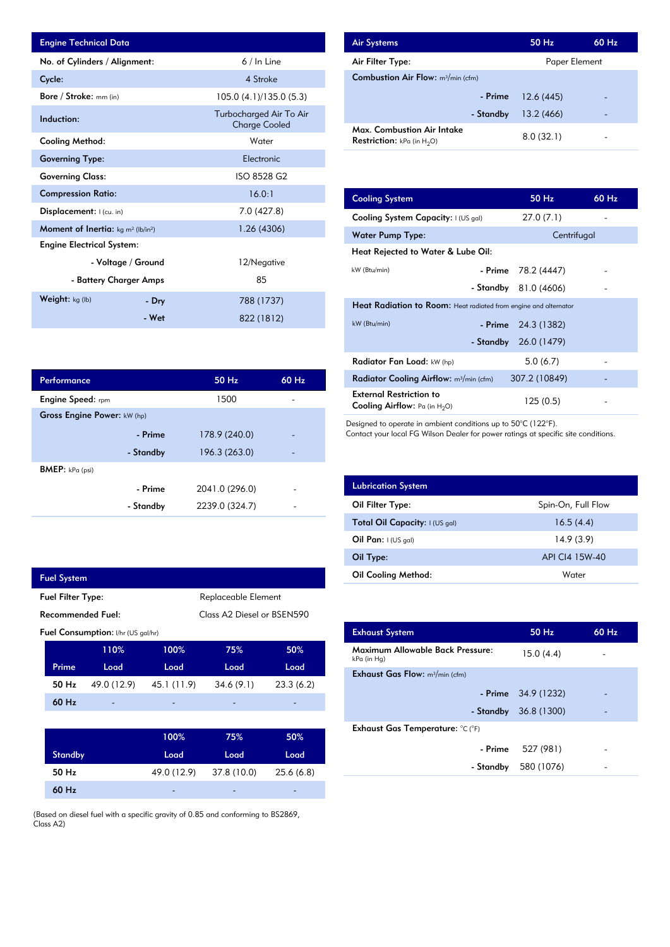| <b>Engine Technical Data</b>                               |                    |                                                 | <b>Air Systems</b>  |
|------------------------------------------------------------|--------------------|-------------------------------------------------|---------------------|
| No. of Cylinders / Alignment:                              |                    | $6/ln$ Line                                     | Air Filter Ty       |
| Cycle:                                                     |                    | 4 Stroke                                        | <b>Combustion</b>   |
| <b>Bore / Stroke:</b> mm (in)                              |                    | 105.0 (4.1)/135.0 (5.3)                         |                     |
| Induction:                                                 |                    | Turbocharged Air To Air<br><b>Charge Cooled</b> | Max. Comb           |
| Cooling Method:                                            |                    | Water                                           | <b>Restriction:</b> |
| <b>Governing Type:</b>                                     |                    | Electronic                                      |                     |
| <b>Governing Class:</b>                                    |                    | ISO 8528 G2                                     |                     |
| <b>Compression Ratio:</b>                                  |                    | 16.0:1                                          | <b>Cooling Sys</b>  |
| Displacement: I (cu. in)                                   |                    | 7.0 (427.8)                                     | <b>Cooling Sys</b>  |
| Moment of Inertia: kg m <sup>2</sup> (lb/in <sup>2</sup> ) |                    | 1.26 (4306)                                     | Water Pum           |
| <b>Engine Electrical System:</b>                           |                    |                                                 | <b>Heat Reject</b>  |
|                                                            | - Voltage / Ground | 12/Negative                                     | kW (Btu/min)        |
| - Battery Charger Amps                                     |                    | 85                                              |                     |
| Weight: kg (lb)                                            | - Dry              | 788 (1737)                                      | <b>Heat Radia</b>   |
|                                                            | - Wet              | 822 (1812)                                      | $kW$ (Btu/min)      |

| <b>Air Systems</b>                                                 | 50 Hz         | 60 Hz |
|--------------------------------------------------------------------|---------------|-------|
| Air Filter Type:                                                   | Paper Element |       |
| <b>Combustion Air Flow:</b> $m^3/m$ in (cfm)                       |               |       |
| - Prime                                                            | 12.6(445)     |       |
| - Standby                                                          | 13.2(466)     |       |
| Max. Combustion Air Intake<br><b>Restriction:</b> kPa (in $H_2O$ ) | 8.0(32.1)     |       |

| 16.0:1         | <b>Cooling System</b>                                                     | 50 Hz         | 60 Hz |  |  |
|----------------|---------------------------------------------------------------------------|---------------|-------|--|--|
| 7.0 (427.8)    | Cooling System Capacity: I (US gal)                                       | 27.0(7.1)     |       |  |  |
| 1.26(4306)     | Water Pump Type:                                                          | Centrifugal   |       |  |  |
|                | Heat Rejected to Water & Lube Oil:                                        |               |       |  |  |
| 12/Negative    | kW (Btu/min)<br>- Prime                                                   | 78.2 (4447)   |       |  |  |
| 85             | - Standby                                                                 | 81.0 (4606)   |       |  |  |
| 788 (1737)     | <b>Heat Radiation to Room:</b> Heat radiated from engine and alternator   |               |       |  |  |
| 822 (1812)     | kW (Btu/min)<br>- Prime                                                   | 24.3 (1382)   |       |  |  |
|                | - Standby                                                                 | 26.0 (1479)   |       |  |  |
|                | Radiator Fan Load: kW (hp)                                                | 5.0(6.7)      |       |  |  |
| 50 Hz<br>60 Hz | Radiator Cooling Airflow: m <sup>3</sup> /min (cfm)                       | 307.2 (10849) |       |  |  |
| 1500           | <b>External Restriction to</b><br><b>Cooling Airflow:</b> Pa (in $H_2O$ ) | 125(0.5)      |       |  |  |

Designed to operate in ambient conditions up to 50°C (122°F).

Contact your local FG Wilson Dealer for power ratings at specific site conditions.

| <b>Lubrication System</b>      |                    |
|--------------------------------|--------------------|
| Oil Filter Type:               | Spin-On, Full Flow |
| Total Oil Capacity: I (US gal) | 16.5(4.4)          |
| Oil Pan: $1(US gal)$           | 14.9(3.9)          |
| Oil Type:                      | API CI4 15W-40     |
| <b>Oil Cooling Method:</b>     | Water              |

| <b>Exhaust System</b>                                 | 50 Hz                  | $60$ Hz |
|-------------------------------------------------------|------------------------|---------|
| Maximum Allowable Back Pressure:<br>kPa (in Hg)       | 15.0(4.4)              |         |
| <b>Exhaust Gas Flow:</b> $m^3/m$ in (cfm)             |                        |         |
|                                                       | - Prime $34.9(1232)$   |         |
|                                                       | - Standby $36.8(1300)$ |         |
| Exhaust Gas Temperature: $^{\circ}$ C ( $^{\circ}$ F) |                        |         |
| - Prime                                               | 527 (981)              |         |
| - Standby                                             | 580 (1076)             |         |
|                                                       |                        |         |

| Performance                 |           | 50 Hz          | 60 Hz |
|-----------------------------|-----------|----------------|-------|
| <b>Engine Speed:</b> rpm    |           | 1500           |       |
| Gross Engine Power: kW (hp) |           |                |       |
|                             | - Prime   | 178.9 (240.0)  |       |
|                             | - Standby | 196.3 (263.0)  |       |
| <b>BMEP:</b> $kPa$ (psi)    |           |                |       |
|                             | - Prime   | 2041.0 (296.0) |       |
|                             | - Standby | 2239.0 (324.7) |       |

| <b>Fuel System</b> |                          |                                           |                            |                     |            |
|--------------------|--------------------------|-------------------------------------------|----------------------------|---------------------|------------|
|                    | <b>Fuel Filter Type:</b> |                                           |                            | Replaceable Element |            |
| Recommended Fuel:  |                          |                                           | Class A2 Diesel or BSEN590 |                     |            |
|                    |                          | <b>Fuel Consumption:</b> I/hr (US gal/hr) |                            |                     |            |
|                    |                          | 110%                                      | 100%                       | 75%                 | 50%        |
|                    | Prime                    | Load                                      | Load                       | Load                | Load       |
|                    | 50 Hz                    | 49.0 (12.9)                               | 45.1 (11.9)                | 34.6(9.1)           | 23.3(6.2)  |
|                    | $60$ Hz                  |                                           |                            |                     |            |
|                    |                          |                                           |                            |                     |            |
|                    |                          |                                           | 100%                       | 75%                 | 50%        |
|                    | <b>Standby</b>           |                                           | Load                       | Load                | Load       |
|                    | 50 Hz                    |                                           | 49.0 (12.9)                | 37.8 (10.0)         | 25.6 (6.8) |

-

-

(Based on diesel fuel with a specific gravity of 0.85 and conforming to BS2869, Class A2)

-

60 Hz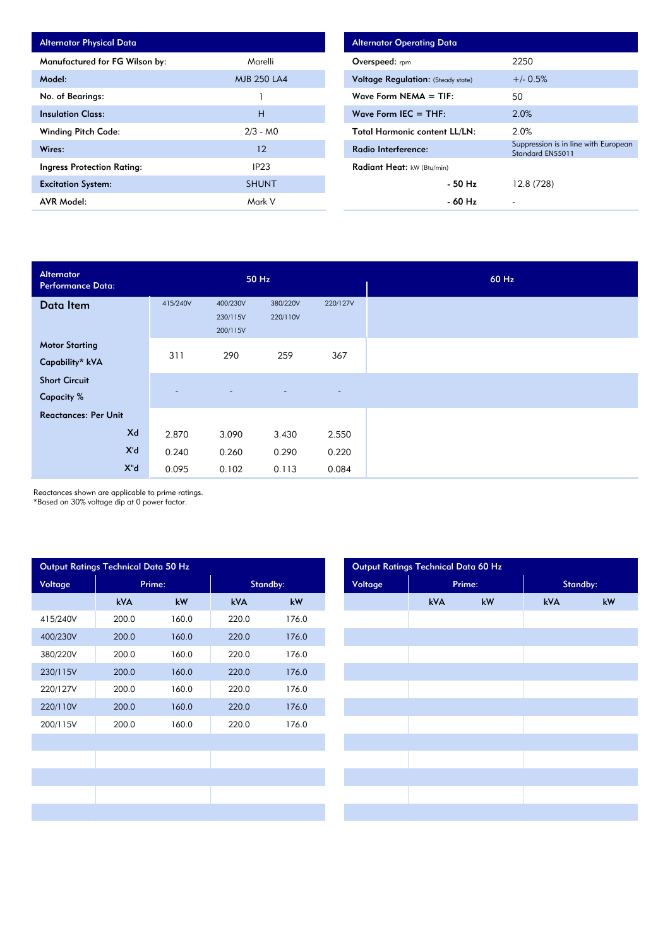| <b>Alternator Physical Data</b>   |                    |
|-----------------------------------|--------------------|
| Manufactured for FG Wilson by:    | Marelli            |
| Model:                            | <b>MJB 250 LA4</b> |
| No. of Bearings:                  |                    |
| <b>Insulation Class:</b>          | н                  |
| <b>Winding Pitch Code:</b>        | $2/3 - M0$         |
| Wires:                            | 12                 |
| <b>Ingress Protection Rating:</b> | IP <sub>23</sub>   |
| <b>Excitation System:</b>         | <b>SHUNT</b>       |
| <b>AVR Model:</b>                 | Mark V             |

| <b>Alternator Operating Data</b>          |                                                          |
|-------------------------------------------|----------------------------------------------------------|
| Overspeed: rpm                            | 2250                                                     |
| <b>Voltage Regulation:</b> (Steady state) | $+/- 0.5%$                                               |
| Wave Form NEMA $=$ TIF:                   | 50                                                       |
| Wave Form IEC $=$ THF:                    | 2.0%                                                     |
| <b>Total Harmonic content LL/LN:</b>      | 2.0%                                                     |
| Radio Interference:                       | Suppression is in line with European<br>Standard EN55011 |
| Radiant Heat: kW (Btu/min)                |                                                          |
| - 50 Hz                                   | 12.8 (728)                                               |
| - 60 Hz                                   |                                                          |

| Alternator<br><b>Performance Data:</b>    | 50 Hz                    |                                  |                          |          |
|-------------------------------------------|--------------------------|----------------------------------|--------------------------|----------|
| Data Item                                 | 415/240V                 | 400/230V<br>230/115V<br>200/115V | 380/220V<br>220/110V     | 220/127V |
| <b>Motor Starting</b><br>Capability* kVA  | 311                      | 290                              | 259                      | 367      |
| <b>Short Circuit</b><br><b>Capacity %</b> | $\overline{\phantom{a}}$ | ٠                                | $\overline{\phantom{0}}$ | $\sim$   |
| <b>Reactances: Per Unit</b>               |                          |                                  |                          |          |
| Xd                                        | 2.870                    | 3.090                            | 3.430                    | 2.550    |
| X'd                                       | 0.240                    | 0.260                            | 0.290                    | 0.220    |
| $X^{\prime\prime}$ d                      | 0.095                    | 0.102                            | 0.113                    | 0.084    |

Reactances shown are applicable to prime ratings.

\*Based on 30% voltage dip at 0 power factor.

| Output Ratings Technical Data 50 Hz |            |        |            |       |  |  |  |  |  |
|-------------------------------------|------------|--------|------------|-------|--|--|--|--|--|
| Voltage                             |            | Prime: | Standby:   |       |  |  |  |  |  |
|                                     | <b>kVA</b> | kW     | <b>kVA</b> | kW    |  |  |  |  |  |
| 415/240V                            | 200.0      | 160.0  | 220.0      | 176.0 |  |  |  |  |  |
| 400/230V                            | 200.0      | 160.0  | 220.0      | 176.0 |  |  |  |  |  |
| 380/220V                            | 200.0      | 160.0  | 220.0      | 176.0 |  |  |  |  |  |
| 230/115V                            | 200.0      | 160.0  | 220.0      | 176.0 |  |  |  |  |  |
| 220/127V                            | 200.0      | 160.0  | 220.0      | 176.0 |  |  |  |  |  |
| 220/110V                            | 200.0      | 160.0  | 220.0      | 176.0 |  |  |  |  |  |
| 200/115V                            | 200.0      | 160.0  | 220.0      | 176.0 |  |  |  |  |  |
|                                     |            |        |            |       |  |  |  |  |  |
|                                     |            |        |            |       |  |  |  |  |  |
|                                     |            |        |            |       |  |  |  |  |  |
|                                     |            |        |            |       |  |  |  |  |  |
|                                     |            |        |            |       |  |  |  |  |  |